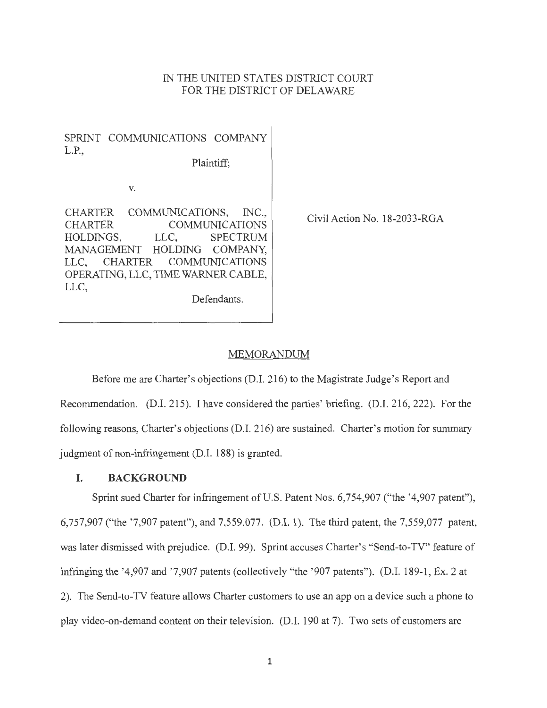## IN THE UNITED STATES DISTRICT COURT FOR THE DISTRICT OF DELAWARE

SPRINT COMMUNICATIONS COMPANY L.P.,

Plaintiff;

V.

CHARTER COMMUNICATIONS, INC., CHARTER COMMUNICATIONS HOLDINGS, LLC, SPECTRUM MANAGEMENT HOLDING COMPANY, LLC, CHARTER COMMUNICATIONS OPERATING, LLC, TIME WARNER CABLE, LLC, Defendants.

Civil Action No. 18-2033-RGA

### MEMORANDUM

Before me are Charter's objections (D.I. 216) to the Magistrate Judge's Report and Recommendation. (D.I. 215). I have considered the parties' briefing. (D.I. 216,222). For the following reasons, Charter's objections (D.1. 216) are sustained. Charter's motion for summary judgment of non-infringement (D.1. 188) is granted.

## **I. BACKGROUND**

Sprint sued Charter for infringement of U.S. Patent Nos. 6,754,907 ("the '4,907 patent"), 6,757,907 ("the '7,907 patent"), and 7,559,077. (D.I. 1). The third patent, the 7,559,077 patent, was later dismissed with prejudice. (D.I. 99). Sprint accuses Charter's "Send-to-TV" feature of infringing the '4,907 and '7,907 patents (collectively "the '907 patents"). (D.I. 189-1, Ex. 2 at 2). The Send-to-TV feature allows Charter customers to use an app on a device such a phone to play video-on-demand content on their television. (D.I. 190 at 7). Two sets of customers are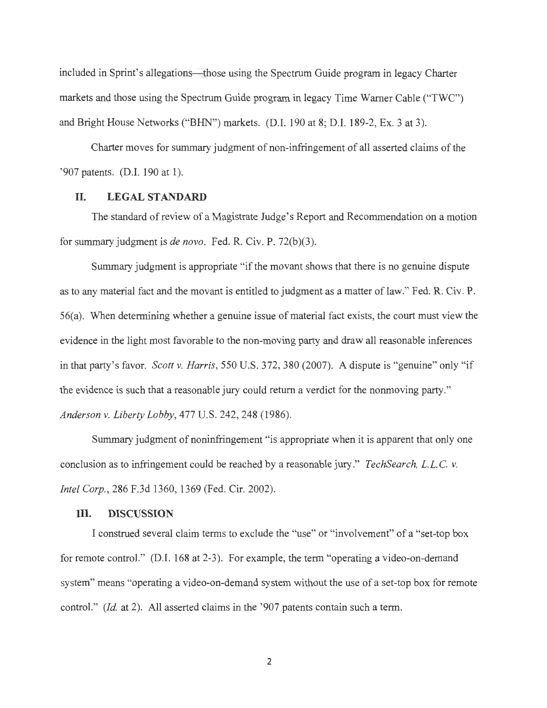included in Sprint's allegations—those using the Spectrum Guide program in legacy Charter markets and those using the Spectrum Guide program in legacy Time Warner Cable ("TWC") and Bright House Networks ("BHN") markets. (D.I. 190 at 8; D.I. 189-2, Ex. 3 at 3).

Charter moves for summary judgment of non-infringement of all asserted claims of the '907 patents. (D.I. 190 at 1).

### **II. LEGAL STANDARD**

The standard of review of a Magistrate Judge's Report and Recommendation on a motion for summary judgment is *de nova.* Fed. R. Civ. P. 72(b)(3).

Summary judgment is appropriate "if the movant shows that there is no genuine dispute as to any material fact and the movant is entitled to judgment as a matter of law." Fed. R. Civ. P. 56( a). When determining whether a genuine issue of material fact exists, the court must view the evidence in the light most favorable to the non-moving party and draw all reasonable inferences in that party's favor. *Scott v. Harris,* 550 U.S. 372, 380 (2007). A dispute is "genuine" only "if the evidence is such that a reasonable jury could return a verdict for the nonmoving party." *Anderson v. Liberty Lobby,* 477 U.S. 242,248 (1986).

Summary judgment of noninfringement "is appropriate when it is apparent that only one conclusion as to infringement could be reached by a reasonable jury." *TechSearch, L.L.* C. v. *Intel Corp.,* 286 F.3d 1360, 1369 (Fed. Cir. 2002).

#### **III. DISCUSSION**

I construed several claim terms to exclude the "use" or "involvement" of a "set-top box for remote control." (D.I. 168 at 2-3). For example, the term "operating a video-on-demand system" means "operating a video-on-demand system without the use of a set-top box for remote control." *(Id.* at 2). All asserted claims in the '907 patents contain such a term.

2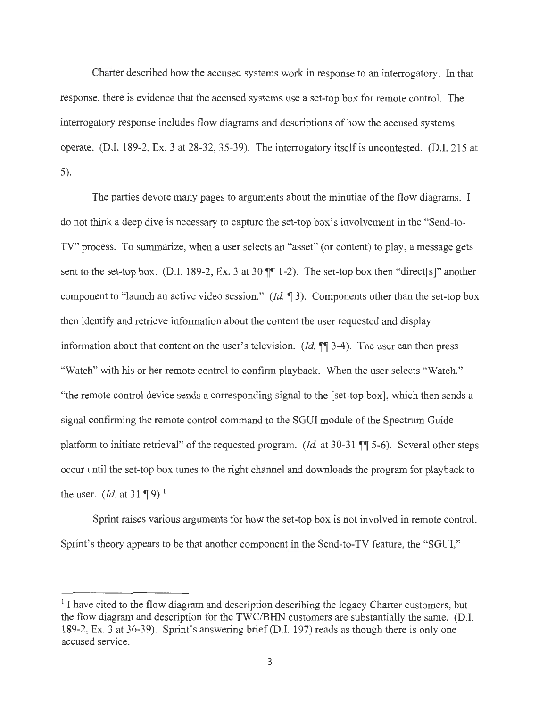Charter described how the accused systems work in response to an interrogatory. In that response, there is evidence that the accused systems use a set-top box for remote control. The interrogatory response includes flow diagrams and descriptions of how the accused systems operate. (D.I. 189-2, Ex. 3 at 28-32, 35-39). The interrogatory itself is uncontested. (D.I. 215 at 5).

The parties devote many pages to arguments about the minutiae of the flow diagrams. I do not think a deep dive is necessary to capture the set-top box's involvement in the "Send-to-TV" process. To summarize, when a user selects an "asset" (or content) to play, a message gets sent to the set-top box. (D.I. 189-2, Ex. 3 at 30  $\P$  $\P$  1-2). The set-top box then "direct[s]" another component to "launch an active video session." (Id. 13). Components other than the set-top box then identify and retrieve information about the content the user requested and display information about that content on the user's television. *(Id.*  $\P$  3-4). The user can then press "Watch" with his or her remote control to confirm playback. When the user selects "Watch," "the remote control device sends a corresponding signal to the [set-top box], which then sends a signal confirming the remote control command to the SGUI module of the Spectrum Guide platform to initiate retrieval" of the requested program. *(Id. at 30-31* ¶ 5-6). Several other steps occur until the set-top box tunes to the right channel and downloads the program for playback to the user. *(Id.* at 31 **1** 9).<sup>1</sup>

Sprint raises various arguments for how the set-top box is not involved in remote control. Sprint's theory appears to be that another component in the Send-to-TV feature, the "SGUI,"

 $<sup>1</sup>$  I have cited to the flow diagram and description describing the legacy Charter customers, but</sup> the flow diagram and description for the TWC/BHN customers are substantially the same. (D.I. 189-2, Ex. 3 at 36-39). Sprint's answering brief (D.I. 197) reads as though there is only one accused service.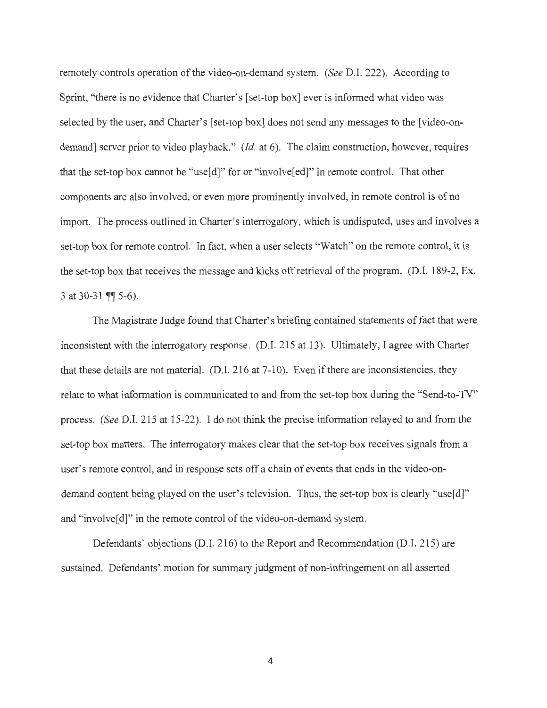remotely controls operation of the video-on-demand system. *(See* D.I. 222). According to Sprint, "there is no evidence that Charter's [set-top box] ever is informed what video was selected by the user, and Charter's [set-top box] does not send any messages to the [video-ondemand] server prior to video playback." *(Id. at 6)*. The claim construction, however, requires that the set-top box cannot be "use[d]" for or "involve[ed]" in remote control. That other components are also involved, or even more prominently involved, in remote control is of no import. The process outlined in Charter's interrogatory, which is undisputed, uses and involves a set-top box for remote control. In fact, when a user selects "Watch" on the remote control, it is the set-top box that receives the message and kicks off retrieval of the program. (D.I. 189-2, Ex. 3 at 30-31 **[1]** 5-6).

The Magistrate Judge found that Charter's briefing contained statements of fact that were inconsistent with the interrogatory response. (D.I. 215 at 13). Ultimately, I agree with Charter that these details are not material. (D.I. 216 at 7-10). Even if there are inconsistencies, they relate to what information is communicated to and from the set-top box during the "Send-to-TV" process. *(See* D.I. 215 at 15-22). I do not think the precise information relayed to and from the set-top box matters. The interrogatory makes clear that the set-top box receives signals from a user's remote control, and in response sets off a chain of events that ends in the video-ondemand content being played on the user's television. Thus, the set-top box is clearly "use[d]" and "involve<sup>[d]"</sup> in the remote control of the video-on-demand system.

Defendants' objections (D.I. 216) to the Report and Recommendation (D.I. 215) are sustained. Defendants' motion for summary judgment of non-infringement on all asserted

4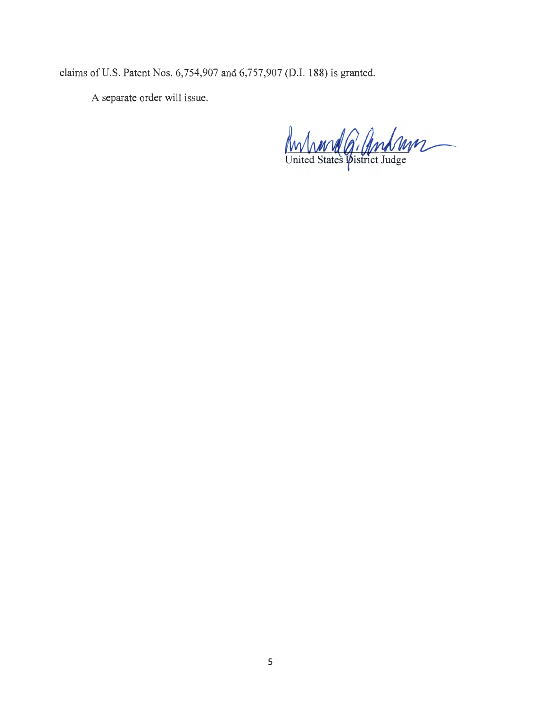claims of U.S. Patent Nos. 6,754,907 and 6,757,907 (D.I. 188) is granted.

A separate order will issue.

Anhand G. Andrew